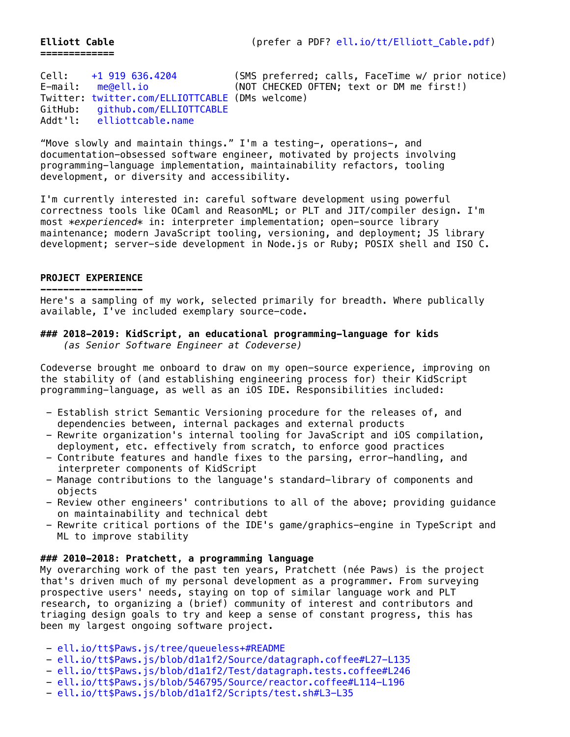**=============**

Cell: [+1 919 636.4204](tel:+1-919-636-4204) (SMS preferred; calls, FaceTime w/ prior notice)<br>E-mail: me@ell.io (NOT CHECKED OFTEN: text or DM me first!) (NOT CHECKED OFTEN; text or DM me first!) Twitter: [twitter.com/ELLIOTTCABLE](http://twitter.com/elliottcable) (DMs welcome) GitHub: [github.com/ELLIOTTCABLE](http://github.com/ELLIOTTCABLE) Addt'l: [elliottcable.name](http://elliottcable.name/)

"Move slowly and maintain things." I'm a testing-, operations-, and documentation-obsessed software engineer, motivated by projects involving programming-language implementation, maintainability refactors, tooling development, or diversity and accessibility.

I'm currently interested in: careful software development using powerful correctness tools like OCaml and ReasonML; or PLT and JIT/compiler design. I'm most *\*experienced\** in: interpreter implementation; open-source library maintenance; modern JavaScript tooling, versioning, and deployment; JS library development; server-side development in Node.js or Ruby; POSIX shell and ISO C.

#### **PROJECT EXPERIENCE**

**------------------** Here's a sampling of my work, selected primarily for breadth. Where publically available, I've included exemplary source-code.

#### **### 2018-2019: KidScript, an educational programming-language for kids**  *(as Senior Software Engineer at Codeverse)*

Codeverse brought me onboard to draw on my open-source experience, improving on the stability of (and establishing engineering process for) their KidScript programming-language, as well as an iOS IDE. Responsibilities included:

- Establish strict Semantic Versioning procedure for the releases of, and dependencies between, internal packages and external products
- Rewrite organization's internal tooling for JavaScript and iOS compilation, deployment, etc. effectively from scratch, to enforce good practices
- Contribute features and handle fixes to the parsing, error-handling, and interpreter components of KidScript
- Manage contributions to the language's standard-library of components and objects
- Review other engineers' contributions to all of the above; providing guidance on maintainability and technical debt
- Rewrite critical portions of the IDE's game/graphics-engine in TypeScript and ML to improve stability

#### **### 2010-2018: Pratchett, a programming language**

My overarching work of the past ten years, Pratchett (née Paws) is the project that's driven much of my personal development as a programmer. From surveying prospective users' needs, staying on top of similar language work and PLT research, to organizing a (brief) community of interest and contributors and triaging design goals to try and keep a sense of constant progress, this has been my largest ongoing software project.

- [ell.io/tt\\$Paws.js/tree/queueless+#README](http://ell.io/tt$Paws.js/tree/queueless+#README)
- [ell.io/tt\\$Paws.js/blob/d1a1f2/Source/datagraph.coffee#L27-L135](http://ell.io/tt$Paws.js/blob/d1a1f2/Source/datagraph.coffee#L27-L135)
- [ell.io/tt\\$Paws.js/blob/d1a1f2/Test/datagraph.tests.coffee#L246](http://ell.io/tt$Paws.js/blob/d1a1f2/Test/datagraph.tests.coffee#L246)
- [ell.io/tt\\$Paws.js/blob/546795/Source/reactor.coffee#L114-L196](http://ell.io/tt$Paws.js/blob/546795/Source/reactor.coffee#L114-L196)
- [ell.io/tt\\$Paws.js/blob/d1a1f2/Scripts/test.sh#L3-L35](http://ell.io/tt$Paws.js/blob/d1a1f2/Scripts/test.sh#L3-L35)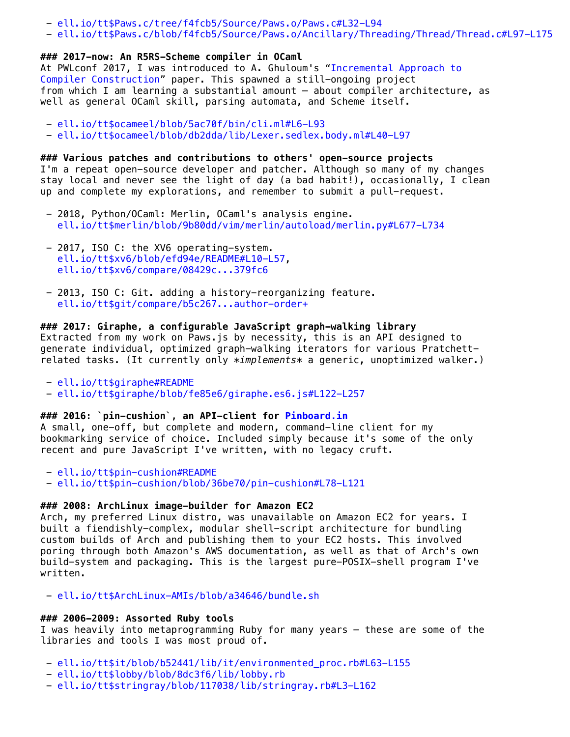- [ell.io/tt\\$Paws.c/tree/f4fcb5/Source/Paws.o/Paws.c#L32-L94](http://ell.io/tt$Paws.c/tree/f4fcb5/Source/Paws.o/Paws.c#L32-L94)
- [ell.io/tt\\$Paws.c/blob/f4fcb5/Source/Paws.o/Ancillary/Threading/Thread/Thread.c#L97-L175](http://ell.io/tt$Paws.c/blob/f4fcb5/Source/Paws.o/Ancillary/Threading/Thread/Thread.c#L97-L175)

## **### 2017-now: An R5RS-Scheme compiler in OCaml**

[At PWLconf 2017, I was introduced to A. Ghuloum's "Incremental Approach to](http://scheme2006.cs.uchicago.edu/11-ghuloum.pdf) Compiler Construction" paper. This spawned a still-ongoing project from which I am learning a substantial amount — about compiler architecture, as well as general OCaml skill, parsing automata, and Scheme itself.

- [ell.io/tt\\$ocameel/blob/5ac70f/bin/cli.ml#L6-L93](http://ell.io/tt$ocameel/blob/5ac70f/bin/cli.ml#L6-L93)
- [ell.io/tt\\$ocameel/blob/db2dda/lib/Lexer.sedlex.body.ml#L40-L97](http://ell.io/tt$ocameel/blob/db2dda/lib/Lexer.sedlex.body.ml#L40-L97)

# **### Various patches and contributions to others' open-source projects**

I'm a repeat open-source developer and patcher. Although so many of my changes stay local and never see the light of day (a bad habit!), occasionally, I clean up and complete my explorations, and remember to submit a pull-request.

- 2018, Python/OCaml: Merlin, OCaml's analysis engine. [ell.io/tt\\$merlin/blob/9b80dd/vim/merlin/autoload/merlin.py#L677-L734](http://ell.io/tt$merlin/blob/9b80dd/vim/merlin/autoload/merlin.py#L677-L734)
- 2017, ISO C: the XV6 operating-system. [ell.io/tt\\$xv6/blob/efd94e/README#L10-L57](http://ell.io/tt$xv6/blob/efd94e/README#L10-L57), [ell.io/tt\\$xv6/compare/08429c...379fc6](http://ell.io/tt$xv6/compare/08429c...379fc6)
- 2013, ISO C: Git. adding a history-reorganizing feature. [ell.io/tt\\$git/compare/b5c267...author-order+](http://ell.io/tt$git/compare/b5c267...author-order+)

## **### 2017: Giraphe, a configurable JavaScript graph-walking library**

Extracted from my work on Paws.js by necessity, this is an API designed to generate individual, optimized graph-walking iterators for various Pratchettrelated tasks. (It currently only *\*implements\** a generic, unoptimized walker.)

- [ell.io/tt\\$giraphe#README](http://ell.io/tt$giraphe#README)
- [ell.io/tt\\$giraphe/blob/fe85e6/giraphe.es6.js#L122-L257](http://ell.io/tt$giraphe/blob/fe85e6/giraphe.es6.js#L122-L257)

# **### 2016: `pin-cushion`, an API-client for [Pinboard.in](http://pinboard.in/)**

A small, one-off, but complete and modern, command-line client for my bookmarking service of choice. Included simply because it's some of the only recent and pure JavaScript I've written, with no legacy cruft.

- [ell.io/tt\\$pin-cushion#README](http://ell.io/tt$pin-cushion#README)

- [ell.io/tt\\$pin-cushion/blob/36be70/pin-cushion#L78-L121](http://ell.io/tt$pin-cushion/blob/36be70/pin-cushion#L78-L121)

# **### 2008: ArchLinux image-builder for Amazon EC2**

Arch, my preferred Linux distro, was unavailable on Amazon EC2 for years. I built a fiendishly-complex, modular shell-script architecture for bundling custom builds of Arch and publishing them to your EC2 hosts. This involved poring through both Amazon's AWS documentation, as well as that of Arch's own build-system and packaging. This is the largest pure-POSIX-shell program I've written.

- [ell.io/tt\\$ArchLinux-AMIs/blob/a34646/bundle.sh](http://ell.io/tt$ArchLinux-AMIs/blob/a34646/bundle.sh)

# **### 2006-2009: Assorted Ruby tools**

I was heavily into metaprogramming Ruby for many years — these are some of the libraries and tools I was most proud of.

- [ell.io/tt\\$it/blob/b52441/lib/it/environmented\\_proc.rb#L63-L155](http://ell.io/tt$it/blob/b52441/lib/it/environmented_proc.rb#L63-L155)
- [ell.io/tt\\$lobby/blob/8dc3f6/lib/lobby.rb](http://ell.io/tt$lobby/blob/8dc3f6/lib/lobby.rb)
- [ell.io/tt\\$stringray/blob/117038/lib/stringray.rb#L3-L162](http://ell.io/tt$stringray/blob/117038/lib/stringray.rb#L3-L162)